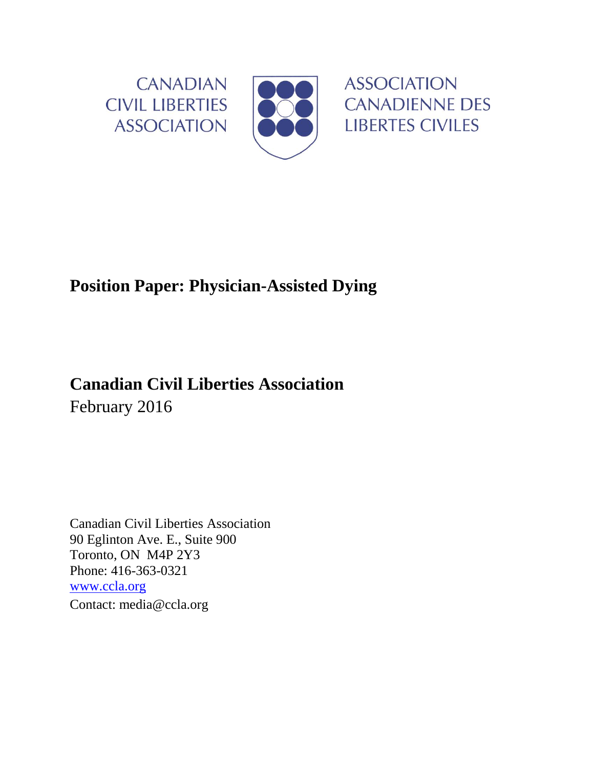

## **Position Paper: Physician-Assisted Dying**

# **Canadian Civil Liberties Association** February 2016

Canadian Civil Liberties Association 90 Eglinton Ave. E., Suite 900 Toronto, ON M4P 2Y3 Phone: 416-363-0321 [www.ccla.org](http://www.ccla.org/) Contact: media@ccla.org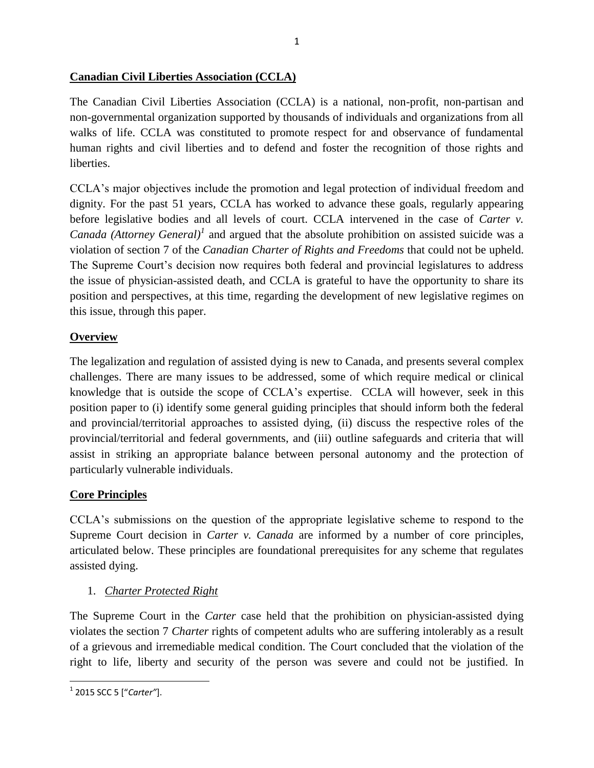#### **Canadian Civil Liberties Association (CCLA)**

The Canadian Civil Liberties Association (CCLA) is a national, non-profit, non-partisan and non-governmental organization supported by thousands of individuals and organizations from all walks of life. CCLA was constituted to promote respect for and observance of fundamental human rights and civil liberties and to defend and foster the recognition of those rights and liberties.

CCLA's major objectives include the promotion and legal protection of individual freedom and dignity. For the past 51 years, CCLA has worked to advance these goals, regularly appearing before legislative bodies and all levels of court. CCLA intervened in the case of *Carter v. Canada (Attorney General)<sup>1</sup>* and argued that the absolute prohibition on assisted suicide was a violation of section 7 of the *Canadian Charter of Rights and Freedoms* that could not be upheld. The Supreme Court's decision now requires both federal and provincial legislatures to address the issue of physician-assisted death, and CCLA is grateful to have the opportunity to share its position and perspectives, at this time, regarding the development of new legislative regimes on this issue, through this paper.

## **Overview**

The legalization and regulation of assisted dying is new to Canada, and presents several complex challenges. There are many issues to be addressed, some of which require medical or clinical knowledge that is outside the scope of CCLA's expertise. CCLA will however, seek in this position paper to (i) identify some general guiding principles that should inform both the federal and provincial/territorial approaches to assisted dying, (ii) discuss the respective roles of the provincial/territorial and federal governments, and (iii) outline safeguards and criteria that will assist in striking an appropriate balance between personal autonomy and the protection of particularly vulnerable individuals.

## **Core Principles**

CCLA's submissions on the question of the appropriate legislative scheme to respond to the Supreme Court decision in *Carter v. Canada* are informed by a number of core principles, articulated below. These principles are foundational prerequisites for any scheme that regulates assisted dying.

## 1. *Charter Protected Right*

The Supreme Court in the *Carter* case held that the prohibition on physician-assisted dying violates the section 7 *Charter* rights of competent adults who are suffering intolerably as a result of a grievous and irremediable medical condition. The Court concluded that the violation of the right to life, liberty and security of the person was severe and could not be justified. In

<sup>1</sup> 2015 SCC 5 ["*Carter"*].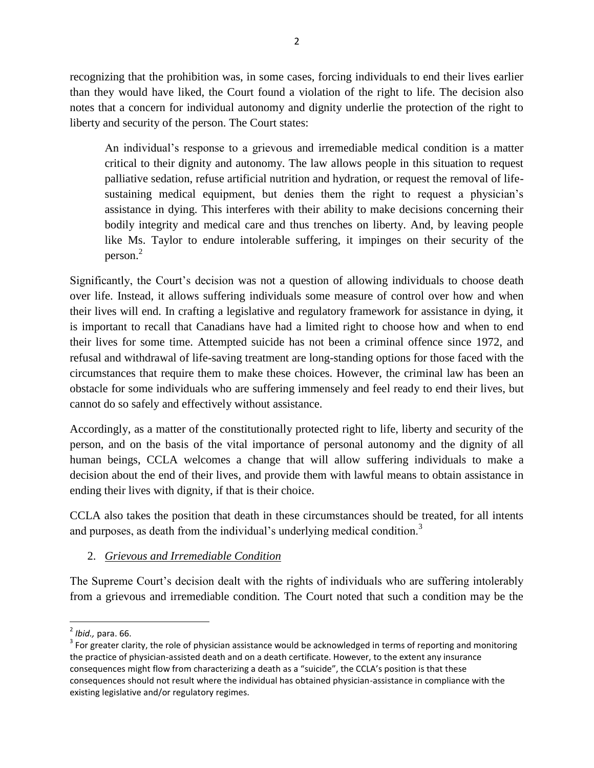recognizing that the prohibition was, in some cases, forcing individuals to end their lives earlier than they would have liked, the Court found a violation of the right to life. The decision also notes that a concern for individual autonomy and dignity underlie the protection of the right to liberty and security of the person. The Court states:

An individual's response to a grievous and irremediable medical condition is a matter critical to their dignity and autonomy. The law allows people in this situation to request palliative sedation, refuse artificial nutrition and hydration, or request the removal of lifesustaining medical equipment, but denies them the right to request a physician's assistance in dying. This interferes with their ability to make decisions concerning their bodily integrity and medical care and thus trenches on liberty. And, by leaving people like Ms. Taylor to endure intolerable suffering, it impinges on their security of the person. 2

Significantly, the Court's decision was not a question of allowing individuals to choose death over life. Instead, it allows suffering individuals some measure of control over how and when their lives will end. In crafting a legislative and regulatory framework for assistance in dying, it is important to recall that Canadians have had a limited right to choose how and when to end their lives for some time. Attempted suicide has not been a criminal offence since 1972, and refusal and withdrawal of life-saving treatment are long-standing options for those faced with the circumstances that require them to make these choices. However, the criminal law has been an obstacle for some individuals who are suffering immensely and feel ready to end their lives, but cannot do so safely and effectively without assistance.

Accordingly, as a matter of the constitutionally protected right to life, liberty and security of the person, and on the basis of the vital importance of personal autonomy and the dignity of all human beings, CCLA welcomes a change that will allow suffering individuals to make a decision about the end of their lives, and provide them with lawful means to obtain assistance in ending their lives with dignity, if that is their choice.

CCLA also takes the position that death in these circumstances should be treated, for all intents and purposes, as death from the individual's underlying medical condition.<sup>3</sup>

## 2. *Grievous and Irremediable Condition*

The Supreme Court's decision dealt with the rights of individuals who are suffering intolerably from a grievous and irremediable condition. The Court noted that such a condition may be the

 $\overline{a}$ 

<sup>2</sup> *Ibid.,* para. 66.

 $3$  For greater clarity, the role of physician assistance would be acknowledged in terms of reporting and monitoring the practice of physician-assisted death and on a death certificate. However, to the extent any insurance consequences might flow from characterizing a death as a "suicide", the CCLA's position is that these consequences should not result where the individual has obtained physician-assistance in compliance with the existing legislative and/or regulatory regimes.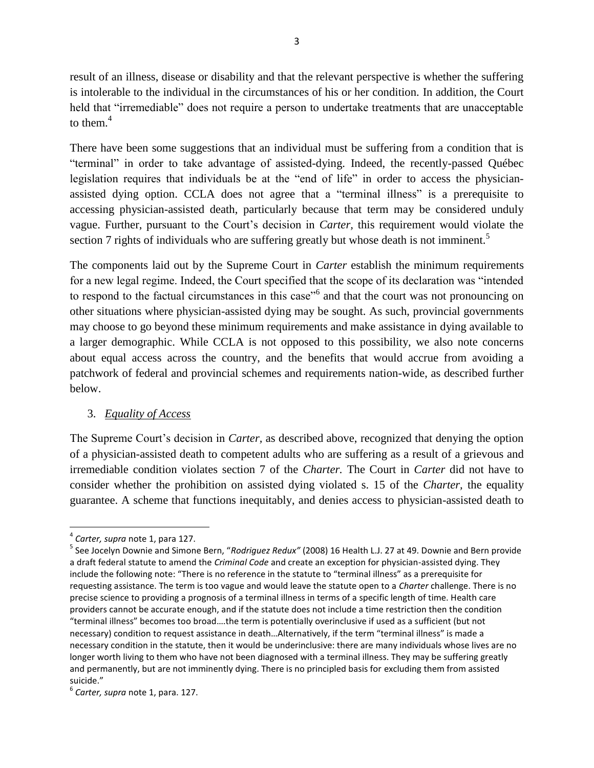result of an illness, disease or disability and that the relevant perspective is whether the suffering is intolerable to the individual in the circumstances of his or her condition. In addition, the Court held that "irremediable" does not require a person to undertake treatments that are unacceptable to them. $4$ 

There have been some suggestions that an individual must be suffering from a condition that is "terminal" in order to take advantage of assisted-dying. Indeed, the recently-passed Québec legislation requires that individuals be at the "end of life" in order to access the physicianassisted dying option. CCLA does not agree that a "terminal illness" is a prerequisite to accessing physician-assisted death, particularly because that term may be considered unduly vague. Further, pursuant to the Court's decision in *Carter,* this requirement would violate the section 7 rights of individuals who are suffering greatly but whose death is not imminent.<sup>5</sup>

The components laid out by the Supreme Court in *Carter* establish the minimum requirements for a new legal regime. Indeed, the Court specified that the scope of its declaration was "intended to respond to the factual circumstances in this case<sup>"6</sup> and that the court was not pronouncing on other situations where physician-assisted dying may be sought. As such, provincial governments may choose to go beyond these minimum requirements and make assistance in dying available to a larger demographic. While CCLA is not opposed to this possibility, we also note concerns about equal access across the country, and the benefits that would accrue from avoiding a patchwork of federal and provincial schemes and requirements nation-wide, as described further below.

## 3. *Equality of Access*

The Supreme Court's decision in *Carter,* as described above, recognized that denying the option of a physician-assisted death to competent adults who are suffering as a result of a grievous and irremediable condition violates section 7 of the *Charter.* The Court in *Carter* did not have to consider whether the prohibition on assisted dying violated s. 15 of the *Charter,* the equality guarantee. A scheme that functions inequitably, and denies access to physician-assisted death to

<sup>4</sup> *Carter, supra* note 1, para 127.

<sup>5</sup> See Jocelyn Downie and Simone Bern, "*Rodriguez Redux"* (2008) 16 Health L.J. 27 at 49. Downie and Bern provide a draft federal statute to amend the *Criminal Code* and create an exception for physician-assisted dying. They include the following note: "There is no reference in the statute to "terminal illness" as a prerequisite for requesting assistance. The term is too vague and would leave the statute open to a *Charter* challenge. There is no precise science to providing a prognosis of a terminal illness in terms of a specific length of time. Health care providers cannot be accurate enough, and if the statute does not include a time restriction then the condition "terminal illness" becomes too broad….the term is potentially overinclusive if used as a sufficient (but not necessary) condition to request assistance in death…Alternatively, if the term "terminal illness" is made a necessary condition in the statute, then it would be underinclusive: there are many individuals whose lives are no longer worth living to them who have not been diagnosed with a terminal illness. They may be suffering greatly and permanently, but are not imminently dying. There is no principled basis for excluding them from assisted suicide."

<sup>6</sup> *Carter, supra* note 1, para. 127.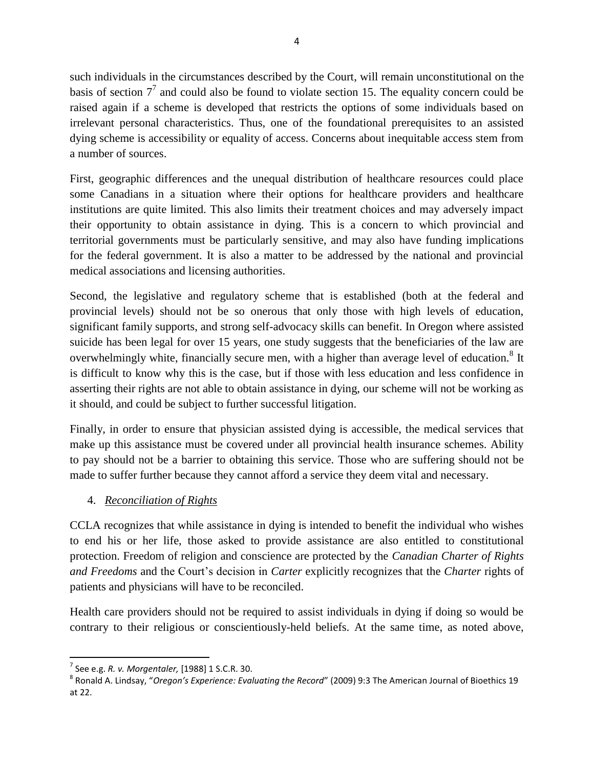such individuals in the circumstances described by the Court, will remain unconstitutional on the basis of section  $7<sup>7</sup>$  and could also be found to violate section 15. The equality concern could be raised again if a scheme is developed that restricts the options of some individuals based on irrelevant personal characteristics. Thus, one of the foundational prerequisites to an assisted dying scheme is accessibility or equality of access. Concerns about inequitable access stem from a number of sources.

First, geographic differences and the unequal distribution of healthcare resources could place some Canadians in a situation where their options for healthcare providers and healthcare institutions are quite limited. This also limits their treatment choices and may adversely impact their opportunity to obtain assistance in dying. This is a concern to which provincial and territorial governments must be particularly sensitive, and may also have funding implications for the federal government. It is also a matter to be addressed by the national and provincial medical associations and licensing authorities.

Second, the legislative and regulatory scheme that is established (both at the federal and provincial levels) should not be so onerous that only those with high levels of education, significant family supports, and strong self-advocacy skills can benefit. In Oregon where assisted suicide has been legal for over 15 years, one study suggests that the beneficiaries of the law are overwhelmingly white, financially secure men, with a higher than average level of education.<sup>8</sup> It is difficult to know why this is the case, but if those with less education and less confidence in asserting their rights are not able to obtain assistance in dying, our scheme will not be working as it should, and could be subject to further successful litigation.

Finally, in order to ensure that physician assisted dying is accessible, the medical services that make up this assistance must be covered under all provincial health insurance schemes. Ability to pay should not be a barrier to obtaining this service. Those who are suffering should not be made to suffer further because they cannot afford a service they deem vital and necessary.

## 4. *Reconciliation of Rights*

CCLA recognizes that while assistance in dying is intended to benefit the individual who wishes to end his or her life, those asked to provide assistance are also entitled to constitutional protection. Freedom of religion and conscience are protected by the *Canadian Charter of Rights and Freedoms* and the Court's decision in *Carter* explicitly recognizes that the *Charter* rights of patients and physicians will have to be reconciled.

Health care providers should not be required to assist individuals in dying if doing so would be contrary to their religious or conscientiously-held beliefs. At the same time, as noted above,

<sup>7</sup> See e.g. *R. v. Morgentaler,* [1988] 1 S.C.R. 30.

<sup>8</sup> Ronald A. Lindsay, "*Oregon's Experience: Evaluating the Record*" (2009) 9:3 The American Journal of Bioethics 19 at 22.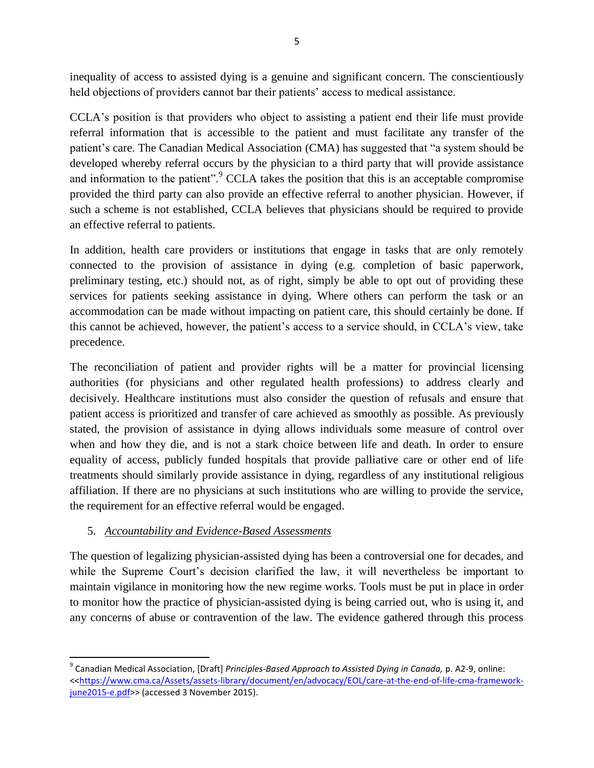inequality of access to assisted dying is a genuine and significant concern. The conscientiously held objections of providers cannot bar their patients' access to medical assistance.

CCLA's position is that providers who object to assisting a patient end their life must provide referral information that is accessible to the patient and must facilitate any transfer of the patient's care. The Canadian Medical Association (CMA) has suggested that "a system should be developed whereby referral occurs by the physician to a third party that will provide assistance and information to the patient". $^9$  CCLA takes the position that this is an acceptable compromise provided the third party can also provide an effective referral to another physician. However, if such a scheme is not established, CCLA believes that physicians should be required to provide an effective referral to patients.

In addition, health care providers or institutions that engage in tasks that are only remotely connected to the provision of assistance in dying (e.g. completion of basic paperwork, preliminary testing, etc.) should not, as of right, simply be able to opt out of providing these services for patients seeking assistance in dying. Where others can perform the task or an accommodation can be made without impacting on patient care, this should certainly be done. If this cannot be achieved, however, the patient's access to a service should, in CCLA's view, take precedence.

The reconciliation of patient and provider rights will be a matter for provincial licensing authorities (for physicians and other regulated health professions) to address clearly and decisively. Healthcare institutions must also consider the question of refusals and ensure that patient access is prioritized and transfer of care achieved as smoothly as possible. As previously stated, the provision of assistance in dying allows individuals some measure of control over when and how they die, and is not a stark choice between life and death. In order to ensure equality of access, publicly funded hospitals that provide palliative care or other end of life treatments should similarly provide assistance in dying, regardless of any institutional religious affiliation. If there are no physicians at such institutions who are willing to provide the service, the requirement for an effective referral would be engaged.

## 5. *Accountability and Evidence-Based Assessments*

 $\overline{\phantom{a}}$ 

The question of legalizing physician-assisted dying has been a controversial one for decades, and while the Supreme Court's decision clarified the law, it will nevertheless be important to maintain vigilance in monitoring how the new regime works. Tools must be put in place in order to monitor how the practice of physician-assisted dying is being carried out, who is using it, and any concerns of abuse or contravention of the law. The evidence gathered through this process

<sup>&</sup>lt;sup>9</sup> Canadian Medical Association, [Draft] *Principles-Based Approach to Assisted Dying in Canada,* p. A2-9, online: <[<https://www.cma.ca/Assets/assets-library/document/en/advocacy/EOL/care-at-the-end-of-life-cma-framework](https://www.cma.ca/Assets/assets-library/document/en/advocacy/EOL/care-at-the-end-of-life-cma-framework-june2015-e.pdf)[june2015-e.pdf>](https://www.cma.ca/Assets/assets-library/document/en/advocacy/EOL/care-at-the-end-of-life-cma-framework-june2015-e.pdf)> (accessed 3 November 2015).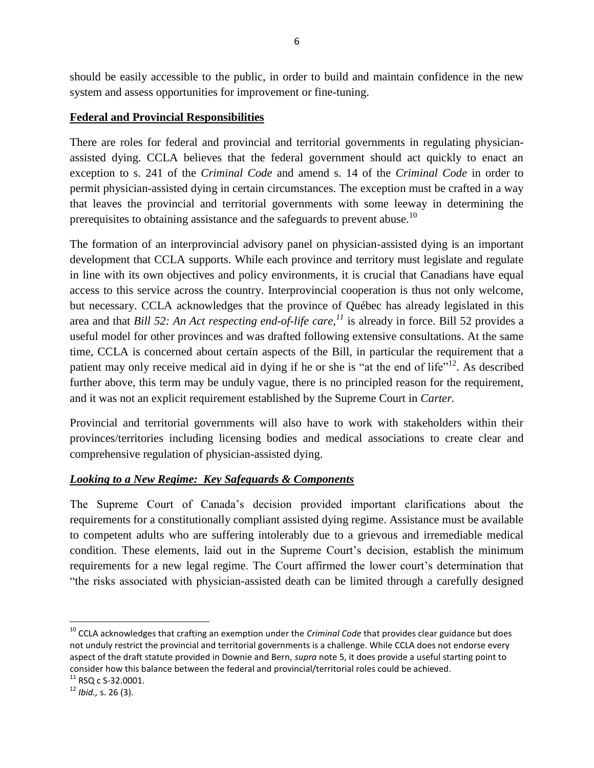should be easily accessible to the public, in order to build and maintain confidence in the new system and assess opportunities for improvement or fine-tuning.

#### **Federal and Provincial Responsibilities**

There are roles for federal and provincial and territorial governments in regulating physicianassisted dying. CCLA believes that the federal government should act quickly to enact an exception to s. 241 of the *Criminal Code* and amend s. 14 of the *Criminal Code* in order to permit physician-assisted dying in certain circumstances. The exception must be crafted in a way that leaves the provincial and territorial governments with some leeway in determining the prerequisites to obtaining assistance and the safeguards to prevent abuse.<sup>10</sup>

The formation of an interprovincial advisory panel on physician-assisted dying is an important development that CCLA supports. While each province and territory must legislate and regulate in line with its own objectives and policy environments, it is crucial that Canadians have equal access to this service across the country. Interprovincial cooperation is thus not only welcome, but necessary. CCLA acknowledges that the province of Québec has already legislated in this area and that *Bill 52: An Act respecting end-of-life care,*<sup>11</sup> is already in force. Bill 52 provides a useful model for other provinces and was drafted following extensive consultations. At the same time, CCLA is concerned about certain aspects of the Bill, in particular the requirement that a patient may only receive medical aid in dying if he or she is "at the end of life"<sup>12</sup>. As described further above, this term may be unduly vague, there is no principled reason for the requirement, and it was not an explicit requirement established by the Supreme Court in *Carter.* 

Provincial and territorial governments will also have to work with stakeholders within their provinces/territories including licensing bodies and medical associations to create clear and comprehensive regulation of physician-assisted dying.

## *Looking to a New Regime: Key Safeguards & Components*

The Supreme Court of Canada's decision provided important clarifications about the requirements for a constitutionally compliant assisted dying regime. Assistance must be available to competent adults who are suffering intolerably due to a grievous and irremediable medical condition. These elements, laid out in the Supreme Court's decision, establish the minimum requirements for a new legal regime. The Court affirmed the lower court's determination that "the risks associated with physician-assisted death can be limited through a carefully designed

 $\overline{a}$ 

<sup>10</sup> CCLA acknowledges that crafting an exemption under the *Criminal Code* that provides clear guidance but does not unduly restrict the provincial and territorial governments is a challenge. While CCLA does not endorse every aspect of the draft statute provided in Downie and Bern, *supra* note 5, it does provide a useful starting point to consider how this balance between the federal and provincial/territorial roles could be achieved.

 $^{11}$  RSO c S-32.0001.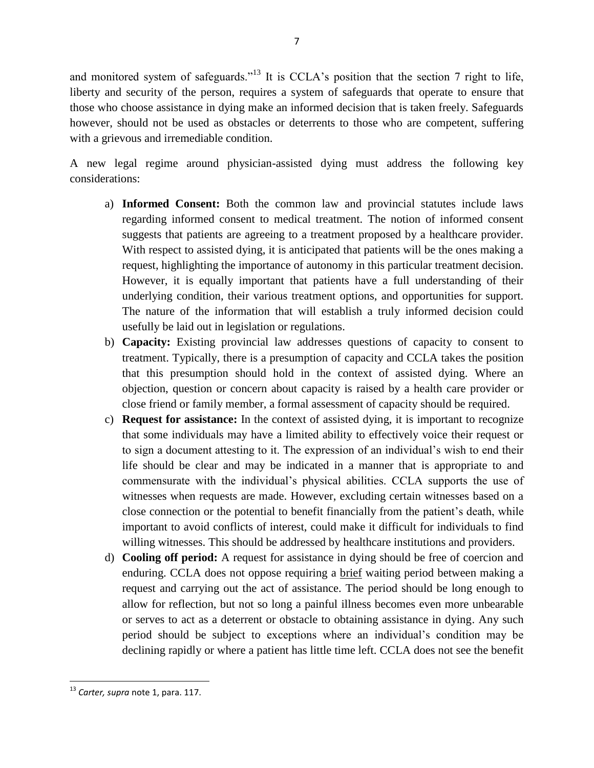and monitored system of safeguards."<sup>13</sup> It is CCLA's position that the section 7 right to life, liberty and security of the person, requires a system of safeguards that operate to ensure that those who choose assistance in dying make an informed decision that is taken freely. Safeguards however, should not be used as obstacles or deterrents to those who are competent, suffering with a grievous and irremediable condition.

A new legal regime around physician-assisted dying must address the following key considerations:

- a) **Informed Consent:** Both the common law and provincial statutes include laws regarding informed consent to medical treatment. The notion of informed consent suggests that patients are agreeing to a treatment proposed by a healthcare provider. With respect to assisted dying, it is anticipated that patients will be the ones making a request, highlighting the importance of autonomy in this particular treatment decision. However, it is equally important that patients have a full understanding of their underlying condition, their various treatment options, and opportunities for support. The nature of the information that will establish a truly informed decision could usefully be laid out in legislation or regulations.
- b) **Capacity:** Existing provincial law addresses questions of capacity to consent to treatment. Typically, there is a presumption of capacity and CCLA takes the position that this presumption should hold in the context of assisted dying. Where an objection, question or concern about capacity is raised by a health care provider or close friend or family member, a formal assessment of capacity should be required.
- c) **Request for assistance:** In the context of assisted dying, it is important to recognize that some individuals may have a limited ability to effectively voice their request or to sign a document attesting to it. The expression of an individual's wish to end their life should be clear and may be indicated in a manner that is appropriate to and commensurate with the individual's physical abilities. CCLA supports the use of witnesses when requests are made. However, excluding certain witnesses based on a close connection or the potential to benefit financially from the patient's death, while important to avoid conflicts of interest, could make it difficult for individuals to find willing witnesses. This should be addressed by healthcare institutions and providers.
- d) **Cooling off period:** A request for assistance in dying should be free of coercion and enduring. CCLA does not oppose requiring a brief waiting period between making a request and carrying out the act of assistance. The period should be long enough to allow for reflection, but not so long a painful illness becomes even more unbearable or serves to act as a deterrent or obstacle to obtaining assistance in dying. Any such period should be subject to exceptions where an individual's condition may be declining rapidly or where a patient has little time left. CCLA does not see the benefit

 $\overline{\phantom{a}}$ <sup>13</sup> *Carter, supra* note 1, para. 117.